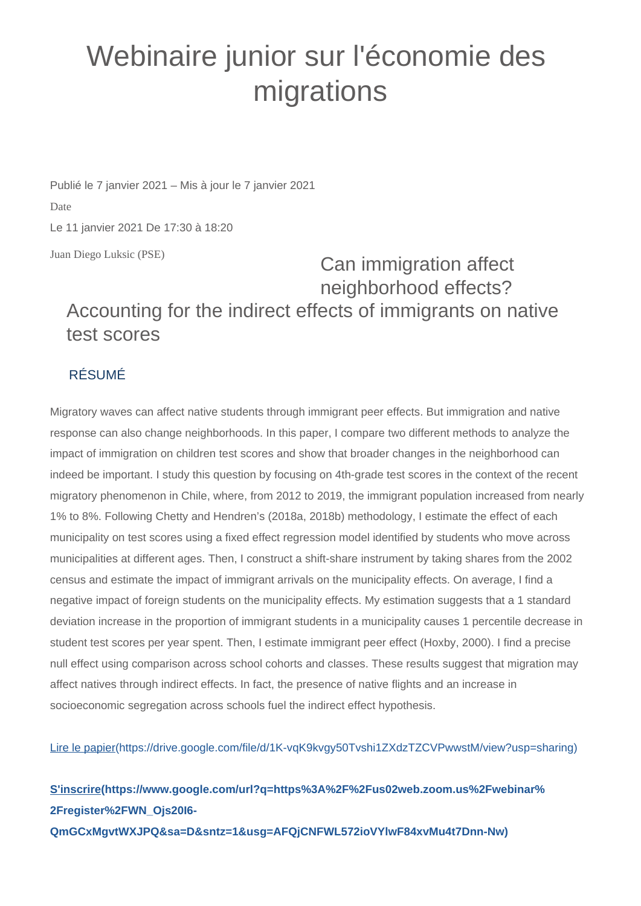## Webinaire junior sur l'économie des migrations

Publié le 7 janvier 2021 – Mis à jour le 7 janvier 2021 Date Le 11 janvier 2021 De 17:30 à 18:20

Juan Diego Luksic (PSE)

Can immigration affect neighborhood effects? Accounting for the indirect effects of immigrants on native test scores

## RÉSUMÉ

Migratory waves can affect native students through immigrant peer effects. But immigration and native response can also change neighborhoods. In this paper, I compare two different methods to analyze the impact of immigration on children test scores and show that broader changes in the neighborhood can indeed be important. I study this question by focusing on 4th-grade test scores in the context of the recent migratory phenomenon in Chile, where, from 2012 to 2019, the immigrant population increased from nearly 1% to 8%. Following Chetty and Hendren's (2018a, 2018b) methodology, I estimate the effect of each municipality on test scores using a fixed effect regression model identified by students who move across municipalities at different ages. Then, I construct a shift-share instrument by taking shares from the 2002 census and estimate the impact of immigrant arrivals on the municipality effects. On average, I find a negative impact of foreign students on the municipality effects. My estimation suggests that a 1 standard deviation increase in the proportion of immigrant students in a municipality causes 1 percentile decrease in student test scores per year spent. Then, I estimate immigrant peer effect (Hoxby, 2000). I find a precise null effect using comparison across school cohorts and classes. These results suggest that migration may affect natives through indirect effects. In fact, the presence of native flights and an increase in socioeconomic segregation across schools fuel the indirect effect hypothesis.

[Lire le papier\(https://drive.google.com/file/d/1K-vqK9kvgy50Tvshi1ZXdzTZCVPwwstM/view?usp=sharing\)](https://drive.google.com/file/d/1K-vqK9kvgy50Tvshi1ZXdzTZCVPwwstM/view?usp=sharing)

**[S'inscrire\(https://www.google.com/url?q=https%3A%2F%2Fus02web.zoom.us%2Fwebinar%](https://www.google.com/url?q=https%3A%2F%2Fus02web.zoom.us%2Fwebinar%2Fregister%2FWN_Ojs20I6-QmGCxMgvtWXJPQ&sa=D&sntz=1&usg=AFQjCNFWL572ioVYlwF84xvMu4t7Dnn-Nw) [2Fregister%2FWN\\_Ojs20I6-](https://www.google.com/url?q=https%3A%2F%2Fus02web.zoom.us%2Fwebinar%2Fregister%2FWN_Ojs20I6-QmGCxMgvtWXJPQ&sa=D&sntz=1&usg=AFQjCNFWL572ioVYlwF84xvMu4t7Dnn-Nw) [QmGCxMgvtWXJPQ&sa=D&sntz=1&usg=AFQjCNFWL572ioVYlwF84xvMu4t7Dnn-Nw\)](https://www.google.com/url?q=https%3A%2F%2Fus02web.zoom.us%2Fwebinar%2Fregister%2FWN_Ojs20I6-QmGCxMgvtWXJPQ&sa=D&sntz=1&usg=AFQjCNFWL572ioVYlwF84xvMu4t7Dnn-Nw)**